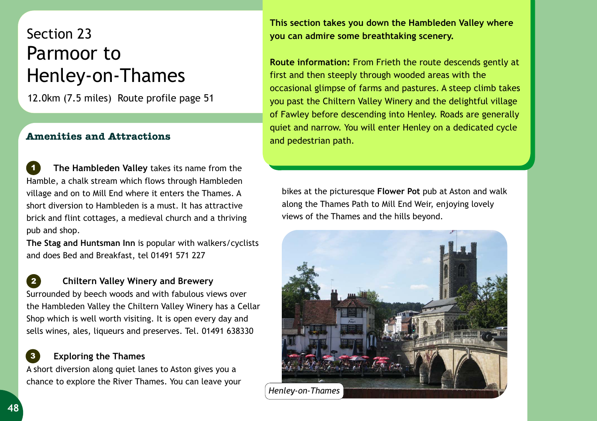## Section 23 Parmoor to Henley-on-Thames

12.0km (7.5 miles) Route profile page 51

## **Amenities and Attractions**

 **The Hambleden Valley** takes its name from the Hamble, a chalk stream which flows through Hambleden village and on to Mill End where it enters the Thames. A short diversion to Hambleden is a must. It has attractive brick and flint cottages, a medieval church and a thriving pub and shop. *1*

**The Stag and Huntsman Inn** is popular with walkers/cyclists and does Bed and Breakfast, tel 01491 571 227

**Chiltern Valley Winery and Brewery**  Surrounded by beech woods and with fabulous views over

the Hambleden Valley the Chiltern Valley Winery has a Cellar Shop which is well worth visiting. It is open every day and sells wines, ales, liqueurs and preserves. Tel. 01491 638330

## **Exploring the Thames**

A short diversion along quiet lanes to Aston gives you a chance to explore the River Thames. You can leave your **This section takes you down the Hambleden Valley where you can admire some breathtaking scenery.** 

**Route information:** From Frieth the route descends gently at first and then steeply through wooded areas with the occasional glimpse of farms and pastures. A steep climb takes you past the Chiltern Valley Winery and the delightful village of Fawley before descending into Henley. Roads are generally quiet and narrow. You will enter Henley on a dedicated cycle and pedestrian path.

bikes at the picturesque **Flower Pot** pub at Aston and walk along the Thames Path to Mill End Weir, enjoying lovely views of the Thames and the hills beyond.



*2*

*3*